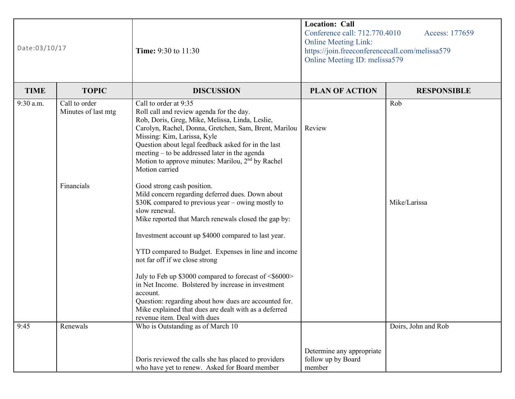| Date:03/10/17 |                                      | <b>Time:</b> 9:30 to 11:30                                                                                                                                                                                                                                                                                                                                                                                                                                                                                                                                                                                                                 | <b>Location: Call</b><br>Conference call: 712.770.4010<br>Access: 177659<br><b>Online Meeting Link:</b><br>https://join.freeconferencecall.com/melissa579<br>Online Meeting ID: melissa579 |                     |  |
|---------------|--------------------------------------|--------------------------------------------------------------------------------------------------------------------------------------------------------------------------------------------------------------------------------------------------------------------------------------------------------------------------------------------------------------------------------------------------------------------------------------------------------------------------------------------------------------------------------------------------------------------------------------------------------------------------------------------|--------------------------------------------------------------------------------------------------------------------------------------------------------------------------------------------|---------------------|--|
| <b>TIME</b>   | <b>TOPIC</b>                         | <b>DISCUSSION</b>                                                                                                                                                                                                                                                                                                                                                                                                                                                                                                                                                                                                                          | <b>PLAN OF ACTION</b>                                                                                                                                                                      | <b>RESPONSIBLE</b>  |  |
| 9:30 a.m.     | Call to order<br>Minutes of last mtg | Call to order at 9:35<br>Roll call and review agenda for the day.<br>Rob, Doris, Greg, Mike, Melissa, Linda, Leslie,<br>Carolyn, Rachel, Donna, Gretchen, Sam, Brent, Marilou<br>Missing: Kim, Larissa, Kyle<br>Question about legal feedback asked for in the last<br>meeting – to be addressed later in the agenda<br>Motion to approve minutes: Marilou, 2 <sup>nd</sup> by Rachel<br>Motion carried                                                                                                                                                                                                                                    | Review                                                                                                                                                                                     | Rob                 |  |
|               | Financials                           | Good strong cash position.<br>Mild concern regarding deferred dues. Down about<br>\$30K compared to previous year – owing mostly to<br>slow renewal.<br>Mike reported that March renewals closed the gap by:<br>Investment account up \$4000 compared to last year.<br>YTD compared to Budget. Expenses in line and income<br>not far off if we close strong<br>July to Feb up \$3000 compared to forecast of <\$6000><br>in Net Income. Bolstered by increase in investment<br>account.<br>Question: regarding about how dues are accounted for.<br>Mike explained that dues are dealt with as a deferred<br>revenue item. Deal with dues |                                                                                                                                                                                            | Mike/Larissa        |  |
| 9:45          | Renewals                             | Who is Outstanding as of March 10<br>Doris reviewed the calls she has placed to providers<br>who have yet to renew. Asked for Board member                                                                                                                                                                                                                                                                                                                                                                                                                                                                                                 | Determine any appropriate<br>follow up by Board<br>member                                                                                                                                  | Doirs, John and Rob |  |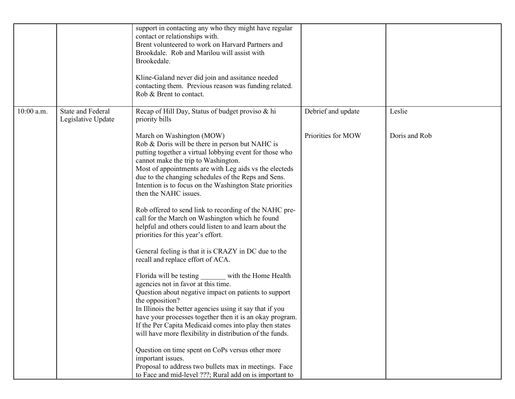|            |                                                | support in contacting any who they might have regular<br>contact or relationships with.<br>Brent volunteered to work on Harvard Partners and<br>Brookdale. Rob and Marilou will assist with<br>Brookedale.<br>Kline-Galand never did join and assitance needed<br>contacting them. Previous reason was funding related.<br>Rob & Brent to contact.                                                               |                    |               |
|------------|------------------------------------------------|------------------------------------------------------------------------------------------------------------------------------------------------------------------------------------------------------------------------------------------------------------------------------------------------------------------------------------------------------------------------------------------------------------------|--------------------|---------------|
| 10:00 a.m. | <b>State and Federal</b><br>Legislative Update | Recap of Hill Day, Status of budget proviso & hi<br>priority bills                                                                                                                                                                                                                                                                                                                                               | Debrief and update | Leslie        |
|            |                                                | March on Washington (MOW)<br>Rob & Doris will be there in person but NAHC is<br>putting together a virtual lobbying event for those who<br>cannot make the trip to Washington.<br>Most of appointments are with Leg aids vs the electeds<br>due to the changing schedules of the Reps and Sens.<br>Intention is to focus on the Washington State priorities<br>then the NAHC issues.                             | Priorities for MOW | Doris and Rob |
|            |                                                | Rob offered to send link to recording of the NAHC pre-<br>call for the March on Washington which he found<br>helpful and others could listen to and learn about the<br>priorities for this year's effort.                                                                                                                                                                                                        |                    |               |
|            |                                                | General feeling is that it is CRAZY in DC due to the<br>recall and replace effort of ACA.                                                                                                                                                                                                                                                                                                                        |                    |               |
|            |                                                | Florida will be testing<br>with the Home Health<br>agencies not in favor at this time.<br>Question about negative impact on patients to support<br>the opposition?<br>In Illinois the better agencies using it say that if you<br>have your processes together then it is an okay program.<br>If the Per Capita Medicaid comes into play then states<br>will have more flexibility in distribution of the funds. |                    |               |
|            |                                                | Question on time spent on CoPs versus other more<br>important issues.<br>Proposal to address two bullets max in meetings. Face<br>to Face and mid-level ???; Rural add on is important to                                                                                                                                                                                                                        |                    |               |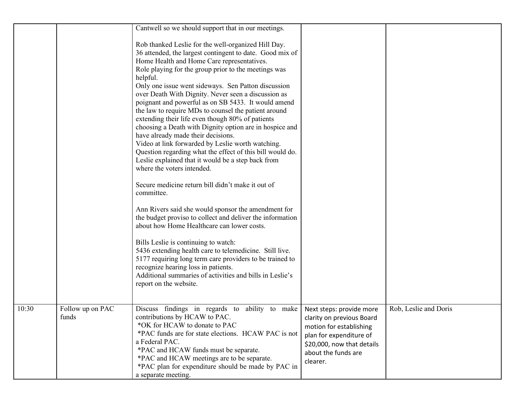|       |                           | Cantwell so we should support that in our meetings.                                                                                                                                                                                                                                                                                                                                                                                                                                                                                                                                                                                                                                                                                                                                                                       |                                                                                                                                                  |                       |
|-------|---------------------------|---------------------------------------------------------------------------------------------------------------------------------------------------------------------------------------------------------------------------------------------------------------------------------------------------------------------------------------------------------------------------------------------------------------------------------------------------------------------------------------------------------------------------------------------------------------------------------------------------------------------------------------------------------------------------------------------------------------------------------------------------------------------------------------------------------------------------|--------------------------------------------------------------------------------------------------------------------------------------------------|-----------------------|
|       |                           | Rob thanked Leslie for the well-organized Hill Day.<br>36 attended, the largest contingent to date. Good mix of<br>Home Health and Home Care representatives.<br>Role playing for the group prior to the meetings was<br>helpful.<br>Only one issue went sideways. Sen Patton discussion<br>over Death With Dignity. Never seen a discussion as<br>poignant and powerful as on SB 5433. It would amend<br>the law to require MDs to counsel the patient around<br>extending their life even though 80% of patients<br>choosing a Death with Dignity option are in hospice and<br>have already made their decisions.<br>Video at link forwarded by Leslie worth watching.<br>Question regarding what the effect of this bill would do.<br>Leslie explained that it would be a step back from<br>where the voters intended. |                                                                                                                                                  |                       |
|       |                           | Secure medicine return bill didn't make it out of<br>committee.                                                                                                                                                                                                                                                                                                                                                                                                                                                                                                                                                                                                                                                                                                                                                           |                                                                                                                                                  |                       |
|       |                           | Ann Rivers said she would sponsor the amendment for<br>the budget proviso to collect and deliver the information<br>about how Home Healthcare can lower costs.                                                                                                                                                                                                                                                                                                                                                                                                                                                                                                                                                                                                                                                            |                                                                                                                                                  |                       |
|       |                           | Bills Leslie is continuing to watch:<br>5436 extending health care to telemedicine. Still live.<br>5177 requiring long term care providers to be trained to<br>recognize hearing loss in patients.<br>Additional summaries of activities and bills in Leslie's<br>report on the website.                                                                                                                                                                                                                                                                                                                                                                                                                                                                                                                                  |                                                                                                                                                  |                       |
| 10:30 | Follow up on PAC<br>funds | Discuss findings in regards to ability to make Next steps: provide more<br>contributions by HCAW to PAC.<br>*OK for HCAW to donate to PAC<br>*PAC funds are for state elections. HCAW PAC is not<br>a Federal PAC.<br>*PAC and HCAW funds must be separate.<br>*PAC and HCAW meetings are to be separate.<br>*PAC plan for expenditure should be made by PAC in<br>a separate meeting.                                                                                                                                                                                                                                                                                                                                                                                                                                    | clarity on previous Board<br>motion for establishing<br>plan for expenditure of<br>\$20,000, now that details<br>about the funds are<br>clearer. | Rob, Leslie and Doris |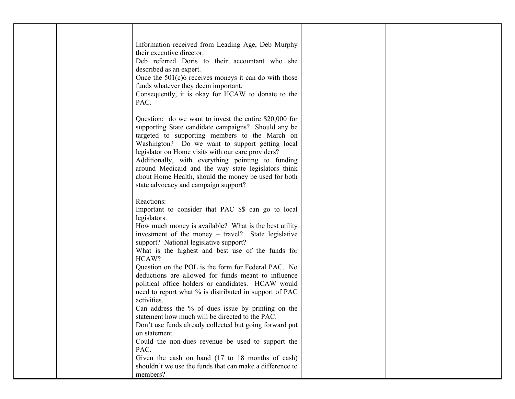|  | Information received from Leading Age, Deb Murphy                                                       |  |
|--|---------------------------------------------------------------------------------------------------------|--|
|  | their executive director.                                                                               |  |
|  | Deb referred Doris to their accountant who she                                                          |  |
|  | described as an expert.                                                                                 |  |
|  | Once the $501(c)6$ receives moneys it can do with those                                                 |  |
|  | funds whatever they deem important.                                                                     |  |
|  | Consequently, it is okay for HCAW to donate to the<br>PAC.                                              |  |
|  |                                                                                                         |  |
|  | Question: do we want to invest the entire $$20,000$ for                                                 |  |
|  | supporting State candidate campaigns? Should any be                                                     |  |
|  | targeted to supporting members to the March on                                                          |  |
|  | Washington? Do we want to support getting local                                                         |  |
|  | legislator on Home visits with our care providers?<br>Additionally, with everything pointing to funding |  |
|  | around Medicaid and the way state legislators think                                                     |  |
|  | about Home Health, should the money be used for both                                                    |  |
|  | state advocacy and campaign support?                                                                    |  |
|  | Reactions:                                                                                              |  |
|  | Important to consider that PAC \$\$ can go to local                                                     |  |
|  | legislators.                                                                                            |  |
|  | How much money is available? What is the best utility                                                   |  |
|  | investment of the money – travel? State legislative                                                     |  |
|  | support? National legislative support?                                                                  |  |
|  | What is the highest and best use of the funds for<br>HCAW?                                              |  |
|  | Question on the POL is the form for Federal PAC. No                                                     |  |
|  | deductions are allowed for funds meant to influence                                                     |  |
|  | political office holders or candidates. HCAW would                                                      |  |
|  | need to report what % is distributed in support of PAC<br>activities.                                   |  |
|  | Can address the % of dues issue by printing on the                                                      |  |
|  | statement how much will be directed to the PAC.                                                         |  |
|  | Don't use funds already collected but going forward put                                                 |  |
|  | on statement.                                                                                           |  |
|  | Could the non-dues revenue be used to support the                                                       |  |
|  | PAC.<br>Given the cash on hand (17 to 18 months of cash)                                                |  |
|  | shouldn't we use the funds that can make a difference to                                                |  |
|  | members?                                                                                                |  |
|  |                                                                                                         |  |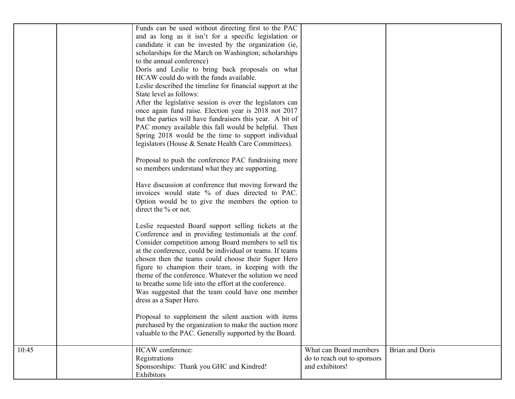|       | Funds can be used without directing first to the PAC<br>and as long as it isn't for a specific legislation or<br>candidate it can be invested by the organization (ie,<br>scholarships for the March on Washington; scholarships<br>to the annual conference)<br>Doris and Leslie to bring back proposals on what<br>HCAW could do with the funds available.<br>Leslie described the timeline for financial support at the<br>State level as follows:<br>After the legislative session is over the legislators can<br>once again fund raise. Election year is 2018 not 2017<br>but the parties will have fundraisers this year. A bit of<br>PAC money available this fall would be helpful. Then<br>Spring 2018 would be the time to support individual<br>legislators (House & Senate Health Care Committees).<br>Proposal to push the conference PAC fundraising more<br>so members understand what they are supporting.<br>Have discussion at conference that moving forward the<br>invoices would state % of dues directed to PAC.<br>Option would be to give the members the option to<br>direct the % or not.<br>Leslie requested Board support selling tickets at the<br>Conference and in providing testimonials at the conf.<br>Consider competition among Board members to sell tix<br>at the conference, could be individual or teams. If teams<br>chosen then the teams could choose their Super Hero<br>figure to champion their team, in keeping with the<br>theme of the conference. Whatever the solution we need<br>to breathe some life into the effort at the conference.<br>Was suggested that the team could have one member<br>dress as a Super Hero.<br>Proposal to supplement the silent auction with items<br>purchased by the organization to make the auction more<br>valuable to the PAC. Generally supported by the Board. |                                                                          |                        |
|-------|---------------------------------------------------------------------------------------------------------------------------------------------------------------------------------------------------------------------------------------------------------------------------------------------------------------------------------------------------------------------------------------------------------------------------------------------------------------------------------------------------------------------------------------------------------------------------------------------------------------------------------------------------------------------------------------------------------------------------------------------------------------------------------------------------------------------------------------------------------------------------------------------------------------------------------------------------------------------------------------------------------------------------------------------------------------------------------------------------------------------------------------------------------------------------------------------------------------------------------------------------------------------------------------------------------------------------------------------------------------------------------------------------------------------------------------------------------------------------------------------------------------------------------------------------------------------------------------------------------------------------------------------------------------------------------------------------------------------------------------------------------------------------------------------------------------------------------------------------------|--------------------------------------------------------------------------|------------------------|
| 10:45 | HCAW conference:<br>Registrations<br>Sponsorships: Thank you GHC and Kindred!<br>Exhibitors                                                                                                                                                                                                                                                                                                                                                                                                                                                                                                                                                                                                                                                                                                                                                                                                                                                                                                                                                                                                                                                                                                                                                                                                                                                                                                                                                                                                                                                                                                                                                                                                                                                                                                                                                             | What can Board members<br>do to reach out to sponsors<br>and exhibitors! | <b>Brian and Doris</b> |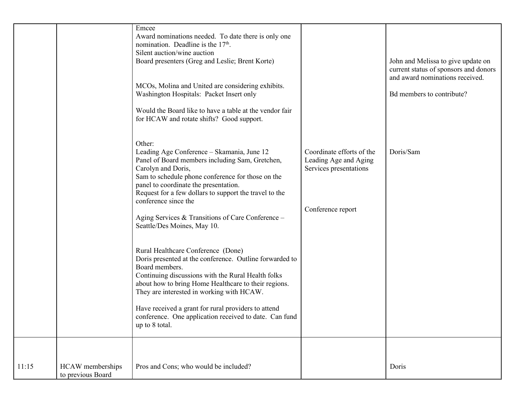|       |                                       | Emcee<br>Award nominations needed. To date there is only one<br>nomination. Deadline is the $17th$ .<br>Silent auction/wine auction<br>Board presenters (Greg and Leslie; Brent Korte)<br>MCOs, Molina and United are considering exhibits.<br>Washington Hospitals: Packet Insert only<br>Would the Board like to have a table at the vendor fair<br>for HCAW and rotate shifts? Good support.               |                                                                                                   | John and Melissa to give update on<br>current status of sponsors and donors<br>and award nominations received.<br>Bd members to contribute? |
|-------|---------------------------------------|---------------------------------------------------------------------------------------------------------------------------------------------------------------------------------------------------------------------------------------------------------------------------------------------------------------------------------------------------------------------------------------------------------------|---------------------------------------------------------------------------------------------------|---------------------------------------------------------------------------------------------------------------------------------------------|
|       |                                       | Other:<br>Leading Age Conference - Skamania, June 12<br>Panel of Board members including Sam, Gretchen,<br>Carolyn and Doris,<br>Sam to schedule phone conference for those on the<br>panel to coordinate the presentation.<br>Request for a few dollars to support the travel to the<br>conference since the<br>Aging Services & Transitions of Care Conference -<br>Seattle/Des Moines, May 10.             | Coordinate efforts of the<br>Leading Age and Aging<br>Services presentations<br>Conference report | Doris/Sam                                                                                                                                   |
|       |                                       | Rural Healthcare Conference (Done)<br>Doris presented at the conference. Outline forwarded to<br>Board members.<br>Continuing discussions with the Rural Health folks<br>about how to bring Home Healthcare to their regions.<br>They are interested in working with HCAW.<br>Have received a grant for rural providers to attend<br>conference. One application received to date. Can fund<br>up to 8 total. |                                                                                                   |                                                                                                                                             |
| 11:15 | HCAW memberships<br>to previous Board | Pros and Cons; who would be included?                                                                                                                                                                                                                                                                                                                                                                         |                                                                                                   | Doris                                                                                                                                       |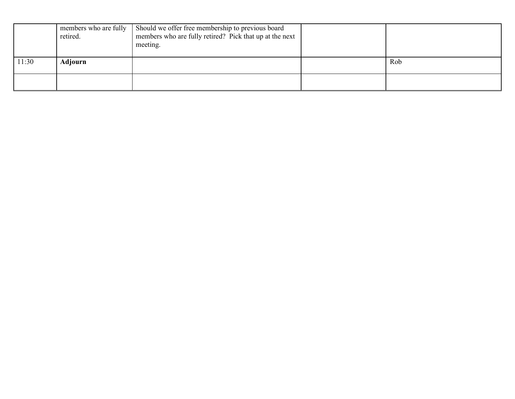|       | members who are fully<br>retired. | Should we offer free membership to previous board<br>members who are fully retired? Pick that up at the next<br>meeting. |     |
|-------|-----------------------------------|--------------------------------------------------------------------------------------------------------------------------|-----|
| 11:30 | Adjourn                           |                                                                                                                          | Rob |
|       |                                   |                                                                                                                          |     |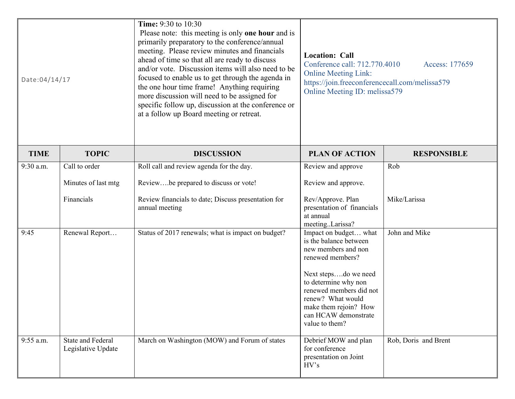| Date:04/14/17 |                                                | <b>Time:</b> 9:30 to 10:30<br>Please note: this meeting is only one hour and is<br>primarily preparatory to the conference/annual<br>meeting. Please review minutes and financials<br>ahead of time so that all are ready to discuss<br>and/or vote. Discussion items will also need to be<br>focused to enable us to get through the agenda in<br>the one hour time frame! Anything requiring<br>more discussion will need to be assigned for<br>specific follow up, discussion at the conference or<br>at a follow up Board meeting or retreat. | <b>Location: Call</b><br>Conference call: 712.770.4010<br>Access: 177659<br><b>Online Meeting Link:</b><br>https://join.freeconferencecall.com/melissa579<br>Online Meeting ID: melissa579                                                                    |                      |
|---------------|------------------------------------------------|---------------------------------------------------------------------------------------------------------------------------------------------------------------------------------------------------------------------------------------------------------------------------------------------------------------------------------------------------------------------------------------------------------------------------------------------------------------------------------------------------------------------------------------------------|---------------------------------------------------------------------------------------------------------------------------------------------------------------------------------------------------------------------------------------------------------------|----------------------|
| <b>TIME</b>   | <b>TOPIC</b>                                   | <b>DISCUSSION</b>                                                                                                                                                                                                                                                                                                                                                                                                                                                                                                                                 | <b>PLAN OF ACTION</b>                                                                                                                                                                                                                                         | <b>RESPONSIBLE</b>   |
| 9:30 a.m.     | Call to order                                  | Roll call and review agenda for the day.                                                                                                                                                                                                                                                                                                                                                                                                                                                                                                          | Review and approve                                                                                                                                                                                                                                            | Rob                  |
|               | Minutes of last mtg                            | Reviewbe prepared to discuss or vote!                                                                                                                                                                                                                                                                                                                                                                                                                                                                                                             | Review and approve.                                                                                                                                                                                                                                           |                      |
|               | Financials                                     | Review financials to date; Discuss presentation for<br>annual meeting                                                                                                                                                                                                                                                                                                                                                                                                                                                                             | Rev/Approve. Plan<br>presentation of financials<br>at annual<br>meetingLarissa?                                                                                                                                                                               | Mike/Larissa         |
| 9:45          | Renewal Report                                 | Status of 2017 renewals; what is impact on budget?                                                                                                                                                                                                                                                                                                                                                                                                                                                                                                | Impact on budget what<br>is the balance between<br>new members and non<br>renewed members?<br>Next stepsdo we need<br>to determine why non<br>renewed members did not<br>renew? What would<br>make them rejoin? How<br>can HCAW demonstrate<br>value to them? | John and Mike        |
| 9:55 a.m.     | <b>State and Federal</b><br>Legislative Update | March on Washington (MOW) and Forum of states                                                                                                                                                                                                                                                                                                                                                                                                                                                                                                     | Debrief MOW and plan<br>for conference<br>presentation on Joint<br>HV's                                                                                                                                                                                       | Rob, Doris and Brent |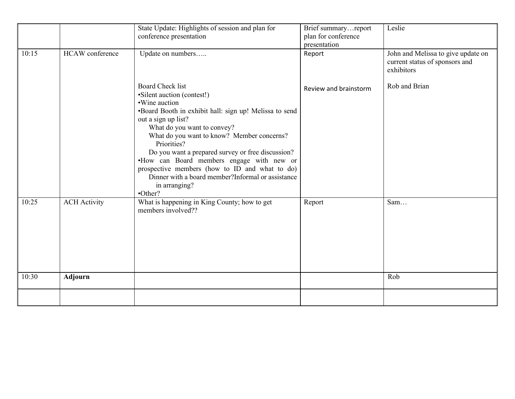| 10:15 | <b>HCAW</b> conference | State Update: Highlights of session and plan for<br>conference presentation<br>Update on numbers                                                                                                                                                                                                                                                                                                                                                                                          | Brief summaryreport<br>plan for conference<br>presentation<br>Report | Leslie<br>John and Melissa to give update on<br>current status of sponsors and<br>exhibitors |
|-------|------------------------|-------------------------------------------------------------------------------------------------------------------------------------------------------------------------------------------------------------------------------------------------------------------------------------------------------------------------------------------------------------------------------------------------------------------------------------------------------------------------------------------|----------------------------------------------------------------------|----------------------------------------------------------------------------------------------|
|       |                        | <b>Board Check list</b><br>• Silent auction (contest!)<br>•Wine auction<br>•Board Booth in exhibit hall: sign up! Melissa to send<br>out a sign up list?<br>What do you want to convey?<br>What do you want to know? Member concerns?<br>Priorities?<br>Do you want a prepared survey or free discussion?<br>.How can Board members engage with new or<br>prospective members (how to ID and what to do)<br>Dinner with a board member?Informal or assistance<br>in arranging?<br>•Other? | Review and brainstorm                                                | Rob and Brian                                                                                |
| 10:25 | <b>ACH</b> Activity    | What is happening in King County; how to get<br>members involved??                                                                                                                                                                                                                                                                                                                                                                                                                        | Report                                                               | Sam                                                                                          |
| 10:30 | <b>Adjourn</b>         |                                                                                                                                                                                                                                                                                                                                                                                                                                                                                           |                                                                      | Rob                                                                                          |
|       |                        |                                                                                                                                                                                                                                                                                                                                                                                                                                                                                           |                                                                      |                                                                                              |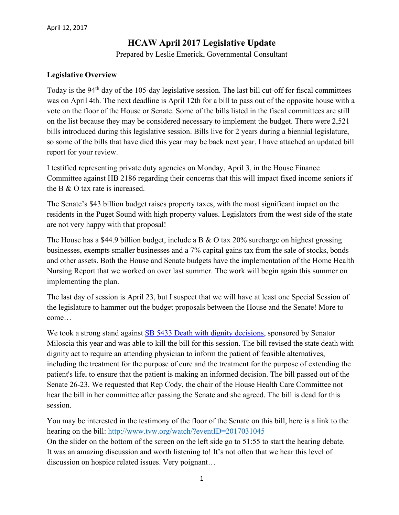### **HCAW April 2017 Legislative Update**

Prepared by Leslie Emerick, Governmental Consultant

#### **Legislative Overview**

Today is the 94<sup>th</sup> day of the 105-day legislative session. The last bill cut-off for fiscal committees was on April 4th. The next deadline is April 12th for a bill to pass out of the opposite house with a vote on the floor of the House or Senate. Some of the bills listed in the fiscal committees are still on the list because they may be considered necessary to implement the budget. There were 2,521 bills introduced during this legislative session. Bills live for 2 years during a biennial legislature, so some of the bills that have died this year may be back next year. I have attached an updated bill report for your review.

I testified representing private duty agencies on Monday, April 3, in the House Finance Committee against HB 2186 regarding their concerns that this will impact fixed income seniors if the B & O tax rate is increased.

The Senate's \$43 billion budget raises property taxes, with the most significant impact on the residents in the Puget Sound with high property values. Legislators from the west side of the state are not very happy with that proposal!

The House has a \$44.9 billion budget, include a B & O tax  $20\%$  surcharge on highest grossing businesses, exempts smaller businesses and a 7% capital gains tax from the sale of stocks, bonds and other assets. Both the House and Senate budgets have the implementation of the Home Health Nursing Report that we worked on over last summer. The work will begin again this summer on implementing the plan.

The last day of session is April 23, but I suspect that we will have at least one Special Session of the legislature to hammer out the budget proposals between the House and the Senate! More to come…

We took a strong stand against [SB 5433 Death with dignity decisions,](http://app.leg.wa.gov/billsummary?BillNumber=5433&Year=2017) sponsored by Senator Miloscia this year and was able to kill the bill for this session. The bill revised the state death with dignity act to require an attending physician to inform the patient of feasible alternatives, including the treatment for the purpose of cure and the treatment for the purpose of extending the patient's life, to ensure that the patient is making an informed decision. The bill passed out of the Senate 26-23. We requested that Rep Cody, the chair of the House Health Care Committee not hear the bill in her committee after passing the Senate and she agreed. The bill is dead for this session.

You may be interested in the testimony of the floor of the Senate on this bill, here is a link to the hearing on the bill: [http://www.tvw.org/watch/?eventID=2017031045](https://na01.safelinks.protection.outlook.com/?url=http%3A%2F%2Fwww.tvw.org%2Fwatch%2F%3FeventID%3D2017031045&data=01%7C01%7Cgregg.vandekieft%40providence.org%7Cdd0eafdaefcf4ceef31d08d4666f8a7c%7C2e3190869a2646a3865f615bed576786%7C1&sdata=kJgfgzu6rD%2FbCuG7L65We88PEdSPefxL8vOs0DbhBzg%3D&reserved=0) On the slider on the bottom of the screen on the left side go to 51:55 to start the hearing debate. It was an amazing discussion and worth listening to! It's not often that we hear this level of discussion on hospice related issues. Very poignant…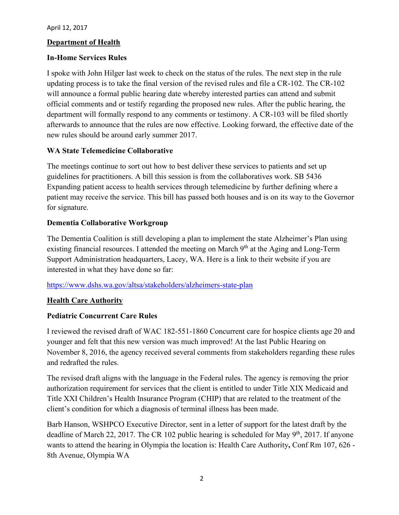#### **Department of Health**

#### **In-Home Services Rules**

I spoke with John Hilger last week to check on the status of the rules. The next step in the rule updating process is to take the final version of the revised rules and file a CR-102. The CR-102 will announce a formal public hearing date whereby interested parties can attend and submit official comments and or testify regarding the proposed new rules. After the public hearing, the department will formally respond to any comments or testimony. A CR-103 will be filed shortly afterwards to announce that the rules are now effective. Looking forward, the effective date of the new rules should be around early summer 2017.

#### **WA State Telemedicine Collaborative**

The meetings continue to sort out how to best deliver these services to patients and set up guidelines for practitioners. A bill this session is from the collaboratives work. SB 5436 Expanding patient access to health services through telemedicine by further defining where a patient may receive the service. This bill has passed both houses and is on its way to the Governor for signature.

#### **Dementia Collaborative Workgroup**

The Dementia Coalition is still developing a plan to implement the state Alzheimer's Plan using existing financial resources. I attended the meeting on March  $9<sup>th</sup>$  at the Aging and Long-Term Support Administration headquarters, Lacey, WA. Here is a link to their website if you are interested in what they have done so far:

<https://www.dshs.wa.gov/altsa/stakeholders/alzheimers-state-plan>

#### **Health Care Authority**

#### **Pediatric Concurrent Care Rules**

I reviewed the revised draft of WAC 182-551-1860 Concurrent care for hospice clients age 20 and younger and felt that this new version was much improved! At the last Public Hearing on November 8, 2016, the agency received several comments from stakeholders regarding these rules and redrafted the rules.

The revised draft aligns with the language in the Federal rules. The agency is removing the prior authorization requirement for services that the client is entitled to under Title XIX Medicaid and Title XXI Children's Health Insurance Program (CHIP) that are related to the treatment of the client's condition for which a diagnosis of terminal illness has been made.

Barb Hanson, WSHPCO Executive Director, sent in a letter of support for the latest draft by the deadline of March 22, 2017. The CR 102 public hearing is scheduled for May  $9<sup>th</sup>$ , 2017. If anyone wants to attend the hearing in Olympia the location is: Health Care Authority**,** Conf Rm 107, 626 - 8th Avenue, Olympia WA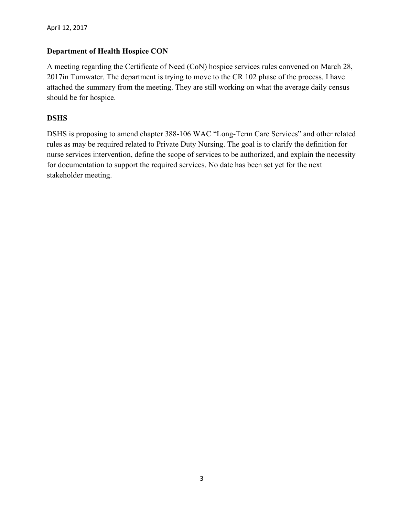#### **Department of Health Hospice CON**

A meeting regarding the Certificate of Need (CoN) hospice services rules convened on March 28, 2017in Tumwater. The department is trying to move to the CR 102 phase of the process. I have attached the summary from the meeting. They are still working on what the average daily census should be for hospice.

#### **DSHS**

DSHS is proposing to amend chapter 388-106 WAC "Long-Term Care Services" and other related rules as may be required related to Private Duty Nursing. The goal is to clarify the definition for nurse services intervention, define the scope of services to be authorized, and explain the necessity for documentation to support the required services. No date has been set yet for the next stakeholder meeting.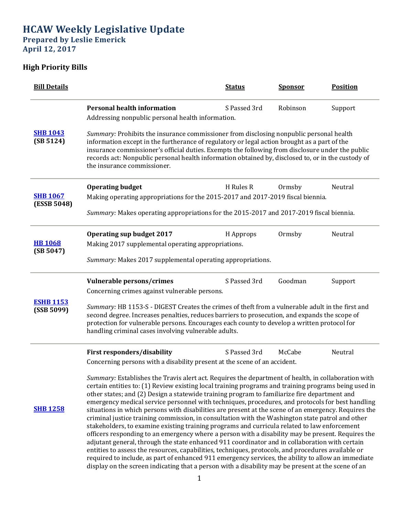# **HCAW Weekly Legislative Update**

**Prepared by Leslie Emerick April 12, 2017**

## **High Priority Bills**

| <b>Bill Details</b>            |                                                                                                                                                                                                                                                                                                                                                                                                                                                                                                                                                                                                                                                                                                                                                                                                                                                                                                                                                                                                                                                                                                                                                                                                                                                                                                                                   | <b>Status</b> | <b>Sponsor</b> | <b>Position</b> |  |  |
|--------------------------------|-----------------------------------------------------------------------------------------------------------------------------------------------------------------------------------------------------------------------------------------------------------------------------------------------------------------------------------------------------------------------------------------------------------------------------------------------------------------------------------------------------------------------------------------------------------------------------------------------------------------------------------------------------------------------------------------------------------------------------------------------------------------------------------------------------------------------------------------------------------------------------------------------------------------------------------------------------------------------------------------------------------------------------------------------------------------------------------------------------------------------------------------------------------------------------------------------------------------------------------------------------------------------------------------------------------------------------------|---------------|----------------|-----------------|--|--|
|                                | <b>Personal health information</b><br>Addressing nonpublic personal health information.                                                                                                                                                                                                                                                                                                                                                                                                                                                                                                                                                                                                                                                                                                                                                                                                                                                                                                                                                                                                                                                                                                                                                                                                                                           | S Passed 3rd  | Robinson       | Support         |  |  |
| <b>SHB 1043</b><br>(SB 5124)   | Summary: Prohibits the insurance commissioner from disclosing nonpublic personal health<br>information except in the furtherance of regulatory or legal action brought as a part of the<br>insurance commissioner's official duties. Exempts the following from disclosure under the public<br>records act: Nonpublic personal health information obtained by, disclosed to, or in the custody of<br>the insurance commissioner.                                                                                                                                                                                                                                                                                                                                                                                                                                                                                                                                                                                                                                                                                                                                                                                                                                                                                                  |               |                |                 |  |  |
|                                | <b>Operating budget</b>                                                                                                                                                                                                                                                                                                                                                                                                                                                                                                                                                                                                                                                                                                                                                                                                                                                                                                                                                                                                                                                                                                                                                                                                                                                                                                           | H Rules R     | Ormsby         | Neutral         |  |  |
| <b>SHB 1067</b><br>(ESSB 5048) | Making operating appropriations for the 2015-2017 and 2017-2019 fiscal biennia.                                                                                                                                                                                                                                                                                                                                                                                                                                                                                                                                                                                                                                                                                                                                                                                                                                                                                                                                                                                                                                                                                                                                                                                                                                                   |               |                |                 |  |  |
|                                | Summary: Makes operating appropriations for the 2015-2017 and 2017-2019 fiscal biennia.                                                                                                                                                                                                                                                                                                                                                                                                                                                                                                                                                                                                                                                                                                                                                                                                                                                                                                                                                                                                                                                                                                                                                                                                                                           |               |                |                 |  |  |
|                                | <b>Operating sup budget 2017</b>                                                                                                                                                                                                                                                                                                                                                                                                                                                                                                                                                                                                                                                                                                                                                                                                                                                                                                                                                                                                                                                                                                                                                                                                                                                                                                  | H Approps     | Ormsby         | Neutral         |  |  |
| <b>HB 1068</b><br>(SB 5047)    | Making 2017 supplemental operating appropriations.                                                                                                                                                                                                                                                                                                                                                                                                                                                                                                                                                                                                                                                                                                                                                                                                                                                                                                                                                                                                                                                                                                                                                                                                                                                                                |               |                |                 |  |  |
|                                | Summary: Makes 2017 supplemental operating appropriations.                                                                                                                                                                                                                                                                                                                                                                                                                                                                                                                                                                                                                                                                                                                                                                                                                                                                                                                                                                                                                                                                                                                                                                                                                                                                        |               |                |                 |  |  |
|                                | Vulnerable persons/crimes                                                                                                                                                                                                                                                                                                                                                                                                                                                                                                                                                                                                                                                                                                                                                                                                                                                                                                                                                                                                                                                                                                                                                                                                                                                                                                         | S Passed 3rd  | Goodman        | Support         |  |  |
|                                | Concerning crimes against vulnerable persons.                                                                                                                                                                                                                                                                                                                                                                                                                                                                                                                                                                                                                                                                                                                                                                                                                                                                                                                                                                                                                                                                                                                                                                                                                                                                                     |               |                |                 |  |  |
| <b>ESHB 1153</b><br>(SSB 5099) | Summary: HB 1153-S - DIGEST Creates the crimes of theft from a vulnerable adult in the first and<br>second degree. Increases penalties, reduces barriers to prosecution, and expands the scope of<br>protection for vulnerable persons. Encourages each county to develop a written protocol for<br>handling criminal cases involving vulnerable adults.                                                                                                                                                                                                                                                                                                                                                                                                                                                                                                                                                                                                                                                                                                                                                                                                                                                                                                                                                                          |               |                |                 |  |  |
|                                | First responders/disability                                                                                                                                                                                                                                                                                                                                                                                                                                                                                                                                                                                                                                                                                                                                                                                                                                                                                                                                                                                                                                                                                                                                                                                                                                                                                                       | S Passed 3rd  | McCabe         | Neutral         |  |  |
|                                |                                                                                                                                                                                                                                                                                                                                                                                                                                                                                                                                                                                                                                                                                                                                                                                                                                                                                                                                                                                                                                                                                                                                                                                                                                                                                                                                   |               |                |                 |  |  |
| <b>SHB 1258</b>                | Concerning persons with a disability present at the scene of an accident.<br>Summary: Establishes the Travis alert act. Requires the department of health, in collaboration with<br>certain entities to: (1) Review existing local training programs and training programs being used in<br>other states; and (2) Design a statewide training program to familiarize fire department and<br>emergency medical service personnel with techniques, procedures, and protocols for best handling<br>situations in which persons with disabilities are present at the scene of an emergency. Requires the<br>criminal justice training commission, in consultation with the Washington state patrol and other<br>stakeholders, to examine existing training programs and curricula related to law enforcement<br>officers responding to an emergency where a person with a disability may be present. Requires the<br>adjutant general, through the state enhanced 911 coordinator and in collaboration with certain<br>entities to assess the resources, capabilities, techniques, protocols, and procedures available or<br>required to include, as part of enhanced 911 emergency services, the ability to allow an immediate<br>display on the screen indicating that a person with a disability may be present at the scene of an |               |                |                 |  |  |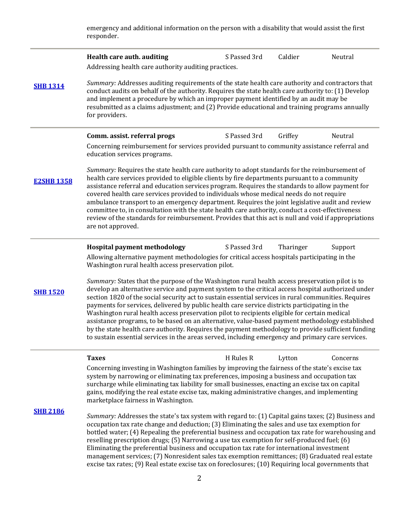emergency and additional information on the person with a disability that would assist the first responder.

|                   | Health care auth. auditing<br>Addressing health care authority auditing practices.                                                                                                                                                                                                                                                                                                                                                                                                                                                                                                                                                                                                                                                                                                                                                                                                 | S Passed 3rd | Caldier   | Neutral  |  |  |
|-------------------|------------------------------------------------------------------------------------------------------------------------------------------------------------------------------------------------------------------------------------------------------------------------------------------------------------------------------------------------------------------------------------------------------------------------------------------------------------------------------------------------------------------------------------------------------------------------------------------------------------------------------------------------------------------------------------------------------------------------------------------------------------------------------------------------------------------------------------------------------------------------------------|--------------|-----------|----------|--|--|
| <b>SHB 1314</b>   | Summary: Addresses auditing requirements of the state health care authority and contractors that<br>conduct audits on behalf of the authority. Requires the state health care authority to: (1) Develop<br>and implement a procedure by which an improper payment identified by an audit may be<br>resubmitted as a claims adjustment; and (2) Provide educational and training programs annually<br>for providers.                                                                                                                                                                                                                                                                                                                                                                                                                                                                |              |           |          |  |  |
|                   | Comm. assist. referral progs                                                                                                                                                                                                                                                                                                                                                                                                                                                                                                                                                                                                                                                                                                                                                                                                                                                       | S Passed 3rd | Griffey   | Neutral  |  |  |
|                   | Concerning reimbursement for services provided pursuant to community assistance referral and<br>education services programs.                                                                                                                                                                                                                                                                                                                                                                                                                                                                                                                                                                                                                                                                                                                                                       |              |           |          |  |  |
| <b>E2SHB 1358</b> | Summary: Requires the state health care authority to adopt standards for the reimbursement of<br>health care services provided to eligible clients by fire departments pursuant to a community<br>assistance referral and education services program. Requires the standards to allow payment for<br>covered health care services provided to individuals whose medical needs do not require<br>ambulance transport to an emergency department. Requires the joint legislative audit and review<br>committee to, in consultation with the state health care authority, conduct a cost-effectiveness<br>review of the standards for reimbursement. Provides that this act is null and void if appropriations<br>are not approved.                                                                                                                                                   |              |           |          |  |  |
|                   | Hospital payment methodology<br>Allowing alternative payment methodologies for critical access hospitals participating in the                                                                                                                                                                                                                                                                                                                                                                                                                                                                                                                                                                                                                                                                                                                                                      | S Passed 3rd | Tharinger | Support  |  |  |
| <b>SHB 1520</b>   | Washington rural health access preservation pilot.<br>Summary: States that the purpose of the Washington rural health access preservation pilot is to<br>develop an alternative service and payment system to the critical access hospital authorized under<br>section 1820 of the social security act to sustain essential services in rural communities. Requires<br>payments for services, delivered by public health care service districts participating in the<br>Washington rural health access preservation pilot to recipients eligible for certain medical<br>assistance programs, to be based on an alternative, value-based payment methodology established<br>by the state health care authority. Requires the payment methodology to provide sufficient funding<br>to sustain essential services in the areas served, including emergency and primary care services. |              |           |          |  |  |
|                   | <b>Taxes</b>                                                                                                                                                                                                                                                                                                                                                                                                                                                                                                                                                                                                                                                                                                                                                                                                                                                                       | H Rules R    | Lytton    | Concerns |  |  |
|                   | Concerning investing in Washington families by improving the fairness of the state's excise tax<br>system by narrowing or eliminating tax preferences, imposing a business and occupation tax<br>surcharge while eliminating tax liability for small businesses, enacting an excise tax on capital<br>gains, modifying the real estate excise tax, making administrative changes, and implementing<br>marketplace fairness in Washington.                                                                                                                                                                                                                                                                                                                                                                                                                                          |              |           |          |  |  |
| <b>SHB 2186</b>   | Summary: Addresses the state's tax system with regard to: (1) Capital gains taxes; (2) Business and<br>occupation tax rate change and deduction; (3) Eliminating the sales and use tax exemption for<br>bottled water; (4) Repealing the preferential business and occupation tax rate for warehousing and<br>reselling prescription drugs; (5) Narrowing a use tax exemption for self-produced fuel; (6)<br>Eliminating the preferential business and occupation tax rate for international investment<br>management services; (7) Nonresident sales tax exemption remittances; (8) Graduated real estate<br>excise tax rates; (9) Real estate excise tax on foreclosures; (10) Requiring local governments that                                                                                                                                                                  |              |           |          |  |  |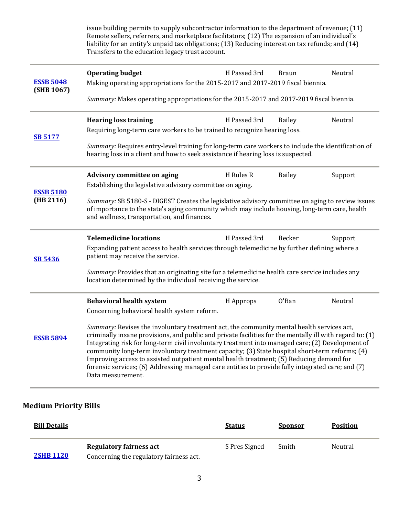issue building permits to supply subcontractor information to the department of revenue; (11) Remote sellers, referrers, and marketplace facilitators; (12) The expansion of an individual's liability for an entity's unpaid tax obligations; (13) Reducing interest on tax refunds; and (14) Transfers to the education legacy trust account. **[ESSB 5048](http://app.leg.wa.gov/billsummary?Year=2017&BillNumber=5048) (SHB 1067) Operating budget** The State of H Passed 3rd Braun Neutral Neutral Making operating appropriations for the 2015-2017 and 2017-2019 fiscal biennia. *Summary:* Makes operating appropriations for the 2015-2017 and 2017-2019 fiscal biennia. **[SB 5177](http://app.leg.wa.gov/billsummary?Year=2017&BillNumber=5177) Hearing loss training the Community Communist H** Passed 3rd Bailey Neutral Requiring long-term care workers to be trained to recognize hearing loss. *Summary:* Requires entry-level training for long-term care workers to include the identification of hearing loss in a client and how to seek assistance if hearing loss is suspected. **[ESSB 5180](http://app.leg.wa.gov/billsummary?Year=2017&BillNumber=5180) (HB 2116) Advisory committee on aging TH** Rules R Bailey Support Establishing the legislative advisory committee on aging. *Summary:* SB 5180-S - DIGEST Creates the legislative advisory committee on aging to review issues of importance to the state's aging community which may include housing, long-term care, health and wellness, transportation, and finances. **[SB 5436](http://app.leg.wa.gov/billsummary?Year=2017&BillNumber=5436) Telemedicine locations H** Passed 3rd Becker Support Expanding patient access to health services through telemedicine by further defining where a patient may receive the service. *Summary:* Provides that an originating site for a telemedicine health care service includes any location determined by the individual receiving the service. **[ESSB 5894](http://app.leg.wa.gov/billsummary?Year=2017&BillNumber=5894) Behavioral health system** H Approps O'Ban Neutral Concerning behavioral health system reform. *Summary:* Revises the involuntary treatment act, the community mental health services act, criminally insane provisions, and public and private facilities for the mentally ill with regard to: (1) Integrating risk for long-term civil involuntary treatment into managed care; (2) Development of community long-term involuntary treatment capacity; (3) State hospital short-term reforms; (4) Improving access to assisted outpatient mental health treatment; (5) Reducing demand for forensic services; (6) Addressing managed care entities to provide fully integrated care; and (7) Data measurement.

#### **Medium Priority Bills**

| <b>Bill Details</b> |                                         | <b>Status</b> | <b>Sponsor</b> | <b>Position</b> |
|---------------------|-----------------------------------------|---------------|----------------|-----------------|
|                     | Regulatory fairness act                 | S Pres Signed | Smith          | Neutral         |
| <b>2SHB 1120</b>    | Concerning the regulatory fairness act. |               |                |                 |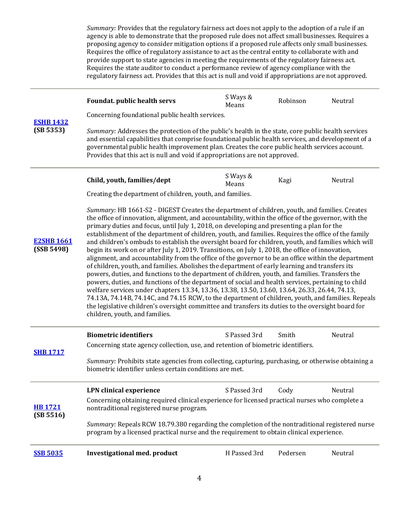*Summary:* Provides that the regulatory fairness act does not apply to the adoption of a rule if an agency is able to demonstrate that the proposed rule does not affect small businesses. Requires a proposing agency to consider mitigation options if a proposed rule affects only small businesses. Requires the office of regulatory assistance to act as the central entity to collaborate with and provide support to state agencies in meeting the requirements of the regulatory fairness act. Requires the state auditor to conduct a performance review of agency compliance with the regulatory fairness act. Provides that this act is null and void if appropriations are not approved.

| <b>ESHB 1432</b><br>(SB 5353)   | Foundat. public health servs                                                                                                                                                                                                                                                                                                                                                                                                                                                                                                                                                                                                                                                                                                                                                                                                                                                                                                                                                                                                                                                                                                                                                                                                                                                                                                                                                           | S Ways &<br>Means | Robinson | Neutral |
|---------------------------------|----------------------------------------------------------------------------------------------------------------------------------------------------------------------------------------------------------------------------------------------------------------------------------------------------------------------------------------------------------------------------------------------------------------------------------------------------------------------------------------------------------------------------------------------------------------------------------------------------------------------------------------------------------------------------------------------------------------------------------------------------------------------------------------------------------------------------------------------------------------------------------------------------------------------------------------------------------------------------------------------------------------------------------------------------------------------------------------------------------------------------------------------------------------------------------------------------------------------------------------------------------------------------------------------------------------------------------------------------------------------------------------|-------------------|----------|---------|
|                                 | Concerning foundational public health services.                                                                                                                                                                                                                                                                                                                                                                                                                                                                                                                                                                                                                                                                                                                                                                                                                                                                                                                                                                                                                                                                                                                                                                                                                                                                                                                                        |                   |          |         |
|                                 | Summary: Addresses the protection of the public's health in the state, core public health services<br>and essential capabilities that comprise foundational public health services, and development of a<br>governmental public health improvement plan. Creates the core public health services account.<br>Provides that this act is null and void if appropriations are not approved.                                                                                                                                                                                                                                                                                                                                                                                                                                                                                                                                                                                                                                                                                                                                                                                                                                                                                                                                                                                               |                   |          |         |
| <b>E2SHB 1661</b><br>(SSB 5498) | Child, youth, families/dept                                                                                                                                                                                                                                                                                                                                                                                                                                                                                                                                                                                                                                                                                                                                                                                                                                                                                                                                                                                                                                                                                                                                                                                                                                                                                                                                                            | S Ways &<br>Means | Kagi     | Neutral |
|                                 | Creating the department of children, youth, and families.                                                                                                                                                                                                                                                                                                                                                                                                                                                                                                                                                                                                                                                                                                                                                                                                                                                                                                                                                                                                                                                                                                                                                                                                                                                                                                                              |                   |          |         |
|                                 | Summary: HB 1661-S2 - DIGEST Creates the department of children, youth, and families. Creates<br>the office of innovation, alignment, and accountability, within the office of the governor, with the<br>primary duties and focus, until July 1, 2018, on developing and presenting a plan for the<br>establishment of the department of children, youth, and families. Requires the office of the family<br>and children's ombuds to establish the oversight board for children, youth, and families which will<br>begin its work on or after July 1, 2019. Transitions, on July 1, 2018, the office of innovation,<br>alignment, and accountability from the office of the governor to be an office within the department<br>of children, youth, and families. Abolishes the department of early learning and transfers its<br>powers, duties, and functions to the department of children, youth, and families. Transfers the<br>powers, duties, and functions of the department of social and health services, pertaining to child<br>welfare services under chapters 13.34, 13.36, 13.38, 13.50, 13.60, 13.64, 26.33, 26.44, 74.13,<br>74.13A, 74.14B, 74.14C, and 74.15 RCW, to the department of children, youth, and families. Repeals<br>the legislative children's oversight committee and transfers its duties to the oversight board for<br>children, youth, and families. |                   |          |         |
| <b>SHB 1717</b>                 | <b>Biometric identifiers</b>                                                                                                                                                                                                                                                                                                                                                                                                                                                                                                                                                                                                                                                                                                                                                                                                                                                                                                                                                                                                                                                                                                                                                                                                                                                                                                                                                           | S Passed 3rd      | Smith    | Neutral |
|                                 | Concerning state agency collection, use, and retention of biometric identifiers.                                                                                                                                                                                                                                                                                                                                                                                                                                                                                                                                                                                                                                                                                                                                                                                                                                                                                                                                                                                                                                                                                                                                                                                                                                                                                                       |                   |          |         |
|                                 | Summary: Prohibits state agencies from collecting, capturing, purchasing, or otherwise obtaining a<br>biometric identifier unless certain conditions are met.                                                                                                                                                                                                                                                                                                                                                                                                                                                                                                                                                                                                                                                                                                                                                                                                                                                                                                                                                                                                                                                                                                                                                                                                                          |                   |          |         |
| <b>HB1721</b><br>(SB 5516)      | <b>LPN</b> clinical experience                                                                                                                                                                                                                                                                                                                                                                                                                                                                                                                                                                                                                                                                                                                                                                                                                                                                                                                                                                                                                                                                                                                                                                                                                                                                                                                                                         | S Passed 3rd      | Cody     | Neutral |
|                                 | Concerning obtaining required clinical experience for licensed practical nurses who complete a<br>nontraditional registered nurse program.                                                                                                                                                                                                                                                                                                                                                                                                                                                                                                                                                                                                                                                                                                                                                                                                                                                                                                                                                                                                                                                                                                                                                                                                                                             |                   |          |         |
|                                 | Summary: Repeals RCW 18.79.380 regarding the completion of the nontraditional registered nurse<br>program by a licensed practical nurse and the requirement to obtain clinical experience.                                                                                                                                                                                                                                                                                                                                                                                                                                                                                                                                                                                                                                                                                                                                                                                                                                                                                                                                                                                                                                                                                                                                                                                             |                   |          |         |
| <b>SSB 5035</b>                 | <b>Investigational med. product</b>                                                                                                                                                                                                                                                                                                                                                                                                                                                                                                                                                                                                                                                                                                                                                                                                                                                                                                                                                                                                                                                                                                                                                                                                                                                                                                                                                    | H Passed 3rd      | Pedersen | Neutral |